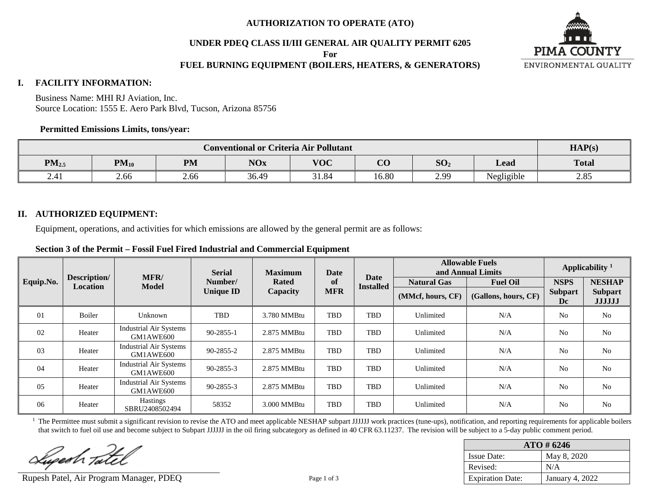**UNDER PDEQ CLASS II/III GENERAL AIR QUALITY PERMIT 6205**

**For**

# **FUEL BURNING EQUIPMENT (BOILERS, HEATERS, & GENERATORS)**



#### **I. FACILITY INFORMATION:**

Business Name: MHI RJ Aviation, Inc. Source Location: 1555 E. Aero Park Blvd, Tucson, Arizona 85756

#### **Permitted Emissions Limits, tons/year:**

|                        | HAP(s)                                                                                                           |                |       |      |            |      |  |  |
|------------------------|------------------------------------------------------------------------------------------------------------------|----------------|-------|------|------------|------|--|--|
| PM <sub>2.5</sub>      | $V\Omega C$<br>$\Omega$<br>SO <sub>2</sub><br><b>PM</b><br>$PM_{10}$<br><b>NOx</b><br>Lead<br>$\mathbf{v}$<br>UU |                |       |      |            |      |  |  |
| $\overline{4}$<br>2.41 | 2.66                                                                                                             | 2104<br>0.1.04 | 16.80 | 2.99 | Negligible | 2.85 |  |  |

#### **II. AUTHORIZED EQUIPMENT:**

Equipment, operations, and activities for which emissions are allowed by the general permit are as follows:

**Section 3 of the Permit – Fossil Fuel Fired Industrial and Commercial Equipment**

|                |                          |                                     | <b>Serial</b>    | <b>Maximum</b><br><b>Rated</b> | Date       |                          |                    | <b>Allowable Fuels</b><br>and Annual Limits | Applicability <sup>1</sup> |                                 |
|----------------|--------------------------|-------------------------------------|------------------|--------------------------------|------------|--------------------------|--------------------|---------------------------------------------|----------------------------|---------------------------------|
| Equip.No.      | Description/<br>Location | MFR/<br><b>Model</b>                | Number/          |                                | of         | Date<br><b>Installed</b> | <b>Natural Gas</b> | <b>Fuel Oil</b>                             | <b>NSPS</b>                | <b>NESHAP</b>                   |
|                |                          |                                     | <b>Unique ID</b> | Capacity                       | <b>MFR</b> |                          | (MMcf, hours, CF)  | (Gallons, hours, CF)                        | <b>Subpart</b><br>Dc       | <b>Subpart</b><br><b>JJJJJJ</b> |
| 01             | Boiler                   | Unknown                             | TBD              | 3.780 MMBtu                    | <b>TBD</b> | TBD                      | Unlimited          | N/A                                         | N <sub>0</sub>             | N <sub>o</sub>                  |
| 02             | Heater                   | Industrial Air Systems<br>GM1AWE600 | 90-2855-1        | 2.875 MMBtu                    | TBD        | TBD                      | Unlimited          | N/A                                         | N <sub>o</sub>             | N <sub>0</sub>                  |
| 0 <sub>3</sub> | Heater                   | Industrial Air Systems<br>GM1AWE600 | 90-2855-2        | 2.875 MMBtu                    | TBD        | TBD                      | Unlimited          | N/A                                         | N <sub>o</sub>             | N <sub>0</sub>                  |
| 04             | Heater                   | Industrial Air Systems<br>GM1AWE600 | 90-2855-3        | 2.875 MMBtu                    | <b>TBD</b> | TBD                      | Unlimited          | N/A                                         | N <sub>o</sub>             | No                              |
| 05             | Heater                   | Industrial Air Systems<br>GM1AWE600 | 90-2855-3        | 2.875 MMBtu                    | <b>TBD</b> | TBD                      | Unlimited          | N/A                                         | N <sub>0</sub>             | N <sub>o</sub>                  |
| 06             | Heater                   | <b>Hastings</b><br>SBRU2408502494   | 58352            | 3.000 MMBtu                    | <b>TBD</b> | TBD                      | Unlimited          | N/A                                         | N <sub>o</sub>             | N <sub>0</sub>                  |

<sup>1</sup> The Permittee must submit a significant revision to revise the ATO and meet applicable NESHAP subpart JJJJJJ work practices (tune-ups), notification, and reporting requirements for applicable boilers that switch to fuel oil use and become subject to Subpart JJJJJJ in the oil firing subcategory as defined in 40 CFR 63.11237. The revision will be subject to a 5-day public comment period.

Lupesh Tate

Rupesh Patel, Air Program Manager, PDEQ Page 1 of 3

| $ATO \# 6246$           |                 |  |  |  |  |  |  |
|-------------------------|-----------------|--|--|--|--|--|--|
| <b>Issue Date:</b>      | May 8, 2020     |  |  |  |  |  |  |
| Revised:                | N/A             |  |  |  |  |  |  |
| <b>Expiration Date:</b> | January 4, 2022 |  |  |  |  |  |  |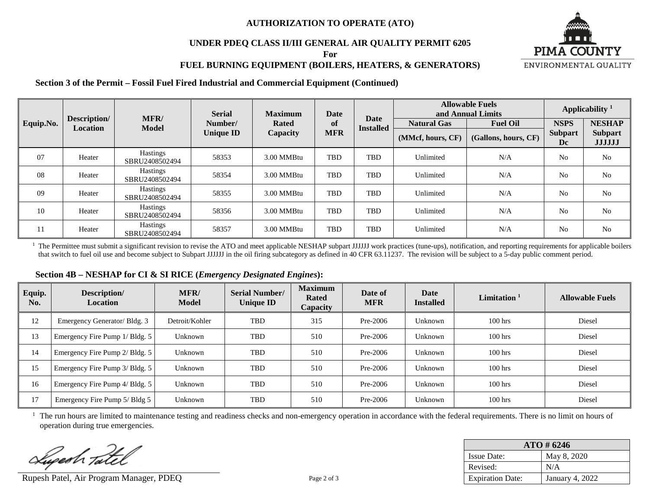### **UNDER PDEQ CLASS II/III GENERAL AIR QUALITY PERMIT 6205**

**For**

# **FUEL BURNING EQUIPMENT (BOILERS, HEATERS, & GENERATORS)**

**Section 3 of the Permit – Fossil Fuel Fired Industrial and Commercial Equipment (Continued)**

|           |                          | <b>MFR</b>                        | <b>Serial</b>    | <b>Maximum</b> | Date       | Date             | <b>Allowable Fuels</b><br>and Annual Limits | Applicability <sup>1</sup> |                      |                                 |
|-----------|--------------------------|-----------------------------------|------------------|----------------|------------|------------------|---------------------------------------------|----------------------------|----------------------|---------------------------------|
| Equip.No. | Description/<br>Location | <b>Model</b>                      | Number/          | <b>Rated</b>   | of         | <b>Installed</b> | <b>Natural Gas</b>                          | <b>Fuel Oil</b>            | <b>NSPS</b>          | <b>NESHAP</b>                   |
|           |                          |                                   | <b>Unique ID</b> | Capacity       | <b>MFR</b> |                  | (MMcf, hours, CF)                           | (Gallons, hours, CF)       | <b>Subpart</b><br>Dc | <b>Subpart</b><br><b>JJJJJJ</b> |
| 07        | Heater                   | <b>Hastings</b><br>SBRU2408502494 | 58353            | 3.00 MMBtu     | <b>TBD</b> | <b>TBD</b>       | Unlimited                                   | N/A                        | N <sub>o</sub>       | N <sub>o</sub>                  |
| 08        | Heater                   | Hastings<br>SBRU2408502494        | 58354            | 3.00 MMBtu     | <b>TBD</b> | TBD              | Unlimited                                   | N/A                        | N <sub>o</sub>       | N <sub>o</sub>                  |
| 09        | Heater                   | <b>Hastings</b><br>SBRU2408502494 | 58355            | 3.00 MMBtu     | <b>TBD</b> | TBD              | Unlimited                                   | N/A                        | N <sub>0</sub>       | N <sub>o</sub>                  |
| 10        | Heater                   | Hastings<br>SBRU2408502494        | 58356            | 3.00 MMBtu     | <b>TBD</b> | TBD              | Unlimited                                   | N/A                        | N <sub>0</sub>       | N <sub>o</sub>                  |
| 11        | Heater                   | Hastings<br>SBRU2408502494        | 58357            | 3.00 MMBtu     | TBD        | TBD              | Unlimited                                   | N/A                        | N <sub>o</sub>       | N <sub>o</sub>                  |

<sup>1</sup> The Permittee must submit a significant revision to revise the ATO and meet applicable NESHAP subpart JJJJJJ work practices (tune-ups), notification, and reporting requirements for applicable boilers that switch to fuel oil use and become subject to Subpart JJJJJJ in the oil firing subcategory as defined in 40 CFR 63.11237. The revision will be subject to a 5-day public comment period.

| Equip.<br>No. | Description/<br><b>Location</b> | MFR/<br>Model  | <b>Serial Number/</b><br><b>Unique ID</b> | <b>Maximum</b><br><b>Rated</b><br><b>Capacity</b> | Date of<br><b>MFR</b> | Date<br><b>Installed</b> | Limitation $1$ | <b>Allowable Fuels</b> |
|---------------|---------------------------------|----------------|-------------------------------------------|---------------------------------------------------|-----------------------|--------------------------|----------------|------------------------|
| 12            | Emergency Generator/ Bldg. 3    | Detroit/Kohler | TBD                                       | 315                                               | Pre-2006              | Unknown                  | $100$ hrs      | Diesel                 |
| 13            | Emergency Fire Pump 1/ Bldg. 5  | Unknown        | TBD                                       | 510                                               | $Pre-2006$            | Unknown                  | $100$ hrs      | Diesel                 |
| 14            | Emergency Fire Pump 2/ Bldg. 5  | Unknown        | <b>TBD</b>                                | 510                                               | Pre-2006              | Unknown                  | $100$ hrs      | Diesel                 |
| 15            | Emergency Fire Pump 3/ Bldg. 5  | Unknown        | <b>TBD</b>                                | 510                                               | Pre-2006              | Unknown                  | $100$ hrs      | Diesel                 |
| 16            | Emergency Fire Pump 4/ Bldg. 5  | Unknown        | TBD                                       | 510                                               | Pre-2006              | Unknown                  | $100$ hrs      | Diesel                 |
| 17            | Emergency Fire Pump 5/ Bldg 5   | Unknown        | TBD                                       | 510                                               | Pre-2006              | Unknown                  | $100$ hrs      | Diesel                 |

<sup>1</sup> The run hours are limited to maintenance testing and readiness checks and non-emergency operation in accordance with the federal requirements. There is no limit on hours of operation during true emergencies.

Superh Tatel

Rupesh Patel, Air Program Manager, PDEQ Page 2 of 3

| $ATO \# 6246$           |                 |  |  |  |  |  |  |
|-------------------------|-----------------|--|--|--|--|--|--|
| <b>Issue Date:</b>      | May 8, 2020     |  |  |  |  |  |  |
| Revised:                | N/A             |  |  |  |  |  |  |
| <b>Expiration Date:</b> | January 4, 2022 |  |  |  |  |  |  |

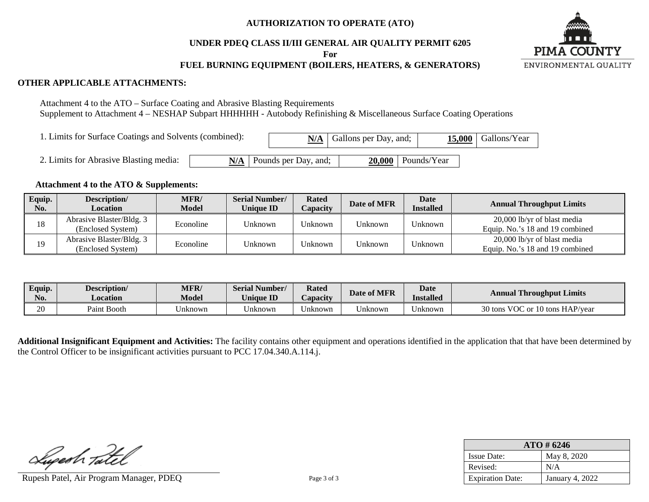#### **UNDER PDEQ CLASS II/III GENERAL AIR QUALITY PERMIT 6205**

**For**

# **FUEL BURNING EQUIPMENT (BOILERS, HEATERS, & GENERATORS)**



#### **OTHER APPLICABLE ATTACHMENTS:**

Attachment 4 to the ATO – Surface Coating and Abrasive Blasting Requirements Supplement to Attachment 4 – NESHAP Subpart HHHHHH - Autobody Refinishing & Miscellaneous Surface Coating Operations

| 1. Limits for Surface Coatings and Solvents (combined): |  |  |                            | $N/A$ Gallons per Day, and; |                      | $15,000$ Gallons/Year |
|---------------------------------------------------------|--|--|----------------------------|-----------------------------|----------------------|-----------------------|
| 2. Limits for Abrasive Blasting media:                  |  |  | $N/A$ Pounds per Day, and; |                             | $20,000$ Pounds/Year |                       |

#### **Attachment 4 to the ATO & Supplements:**

| Equip.<br>No. | Description/<br><b>Location</b>               | <b>MFR/</b><br><b>Model</b> | <b>Serial Number/</b><br><b>Unique ID</b> | <b>Rated</b><br>Capacity | Date of MFR | <b>Date</b><br><b>Installed</b> | <b>Annual Throughput Limits</b>                                |
|---------------|-----------------------------------------------|-----------------------------|-------------------------------------------|--------------------------|-------------|---------------------------------|----------------------------------------------------------------|
| 18            | Abrasive Blaster/Bldg. 3<br>(Enclosed System) | Econoline                   | Unknown                                   | Unknown                  | Unknown     | $^{\mathsf{T}}$ Jnknown         | 20,000 lb/yr of blast media<br>Equip. No.'s 18 and 19 combined |
| 19            | Abrasive Blaster/Bldg. 3<br>(Enclosed System) | Econoline                   | Unknown                                   | Unknown                  | Unknown     | <sup>I</sup> Jnknown            | 20,000 lb/yr of blast media<br>Equip. No.'s 18 and 19 combined |

| Equip.<br>No. | Description/<br>Location | <b>MFR</b><br>Model | Serial Number/<br>$-1$<br>J <b>niaue ID</b> | <b>Rated</b><br><i>L</i> apacity | Date of MFR | <b>Date</b><br>Installed | <b>Annual Throughput Limits</b>                        |
|---------------|--------------------------|---------------------|---------------------------------------------|----------------------------------|-------------|--------------------------|--------------------------------------------------------|
| 20            | Paint Booth              | Jnknown             | Jnknown                                     | ∪nknown                          | Jnknown     | Jnknown                  | 30 tons<br><b>VOC</b><br>$\degree$ or 10 tons HAP/year |

**Additional Insignificant Equipment and Activities:** The facility contains other equipment and operations identified in the application that that have been determined by the Control Officer to be insignificant activities pursuant to PCC 17.04.340.A.114.j.

Superh Tatel

Rupesh Patel, Air Program Manager, PDEQ Page 3 of 3

| $ATO \# 6246$           |                        |  |  |  |  |  |  |
|-------------------------|------------------------|--|--|--|--|--|--|
| <b>Issue Date:</b>      | May 8, 2020            |  |  |  |  |  |  |
| Revised:                | N/A                    |  |  |  |  |  |  |
| <b>Expiration Date:</b> | <b>January 4, 2022</b> |  |  |  |  |  |  |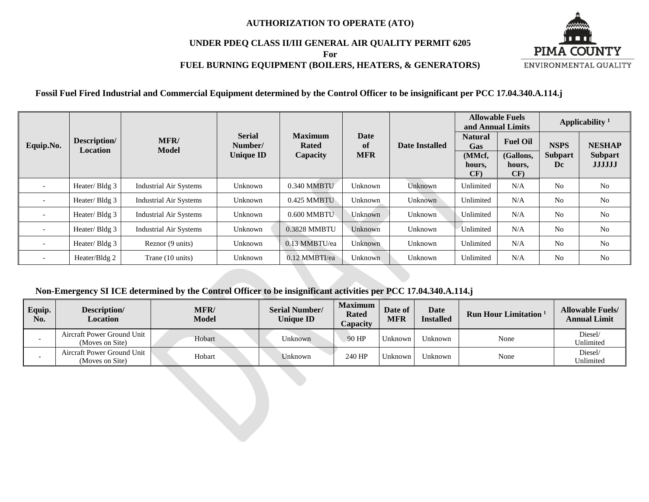# **UNDER PDEQ CLASS II/III GENERAL AIR QUALITY PERMIT 6205**

**For**

# **FUEL BURNING EQUIPMENT (BOILERS, HEATERS, & GENERATORS)**



**Fossil Fuel Fired Industrial and Commercial Equipment determined by the Control Officer to be insignificant per PCC 17.04.340.A.114.j**

|                          |                                 |                               |                          |                                |                   |                | <b>Allowable Fuels</b><br>and Annual Limits |                            | Applicability $1$    |                                 |
|--------------------------|---------------------------------|-------------------------------|--------------------------|--------------------------------|-------------------|----------------|---------------------------------------------|----------------------------|----------------------|---------------------------------|
| Equip.No.                | Description/<br><b>Location</b> | MFR/<br><b>Model</b>          | <b>Serial</b><br>Number/ | <b>Maximum</b><br><b>Rated</b> | <b>Date</b><br>of | Date Installed | <b>Natural</b><br>Gas                       | <b>Fuel Oil</b>            | <b>NSPS</b>          | <b>NESHAP</b>                   |
|                          |                                 |                               | <b>Unique ID</b>         | Capacity                       | <b>MFR</b>        |                | (MMcf,<br>hours,<br>CF)                     | (Gallons,<br>hours,<br>CF) | <b>Subpart</b><br>Dc | <b>Subpart</b><br><b>JJJJJJ</b> |
|                          | Heater/Bldg 3                   | <b>Industrial Air Systems</b> | Unknown                  | 0.340 MMBTU                    | Unknown           | Unknown        | Unlimited                                   | N/A                        | N <sub>o</sub>       | N <sub>0</sub>                  |
|                          | Heater/Bldg 3                   | <b>Industrial Air Systems</b> | Unknown                  | 0.425 MMBTU                    | Unknown           | Unknown        | Unlimited                                   | N/A                        | N <sub>o</sub>       | N <sub>0</sub>                  |
|                          | Heater/Bldg 3                   | <b>Industrial Air Systems</b> | Unknown                  | $0.600$ MMBTU                  | Unknown           | Unknown        | Unlimited                                   | N/A                        | N <sub>o</sub>       | N <sub>0</sub>                  |
|                          | Heater/Bldg 3                   | <b>Industrial Air Systems</b> | Unknown                  | 0.3828 MMBTU                   | Unknown           | Unknown        | Unlimited                                   | N/A                        | N <sub>0</sub>       | N <sub>0</sub>                  |
| $\overline{\phantom{0}}$ | Heater/Bldg 3                   | Reznor (9 units)              | Unknown                  | 0.13 MMBTU/ea                  | <b>Unknown</b>    | Unknown        | Unlimited                                   | N/A                        | N <sub>0</sub>       | N <sub>0</sub>                  |
|                          | Heater/Bldg 2                   | Trane (10 units)              | Unknown                  | 0.12 MMBTI/ea                  | Unknown           | Unknown        | Unlimited                                   | N/A                        | N <sub>0</sub>       | N <sub>0</sub>                  |

# **Non-Emergency SI ICE determined by the Control Officer to be insignificant activities per PCC 17.04.340.A.114.j**

| Equip.<br>No. | Description/<br>Location                      | MFR/<br><b>Model</b> | <b>Serial Number/</b><br><b>Unique ID</b> | <b>Maximum</b><br><b>Rated</b><br><i>Capacity</i> | Date of<br><b>MFR</b> | Date<br><b>Installed</b> | Run Hour Limitation <sup>1</sup> | <b>Allowable Fuels/</b><br><b>Annual Limit</b> |
|---------------|-----------------------------------------------|----------------------|-------------------------------------------|---------------------------------------------------|-----------------------|--------------------------|----------------------------------|------------------------------------------------|
|               | Aircraft Power Ground Unit<br>(Moves on Site) | Hobart               | Jnknown                                   | 90 HP                                             | Unknown               | Unknown                  | None                             | Diesel/<br>Unlimited                           |
|               | Aircraft Power Ground Unit<br>(Moves on Site) | Hobart               | Jnknown                                   | 240 HP                                            | <sup>I</sup> Jnknown  | Unknown                  | None                             | Diesel/<br>Unlimited                           |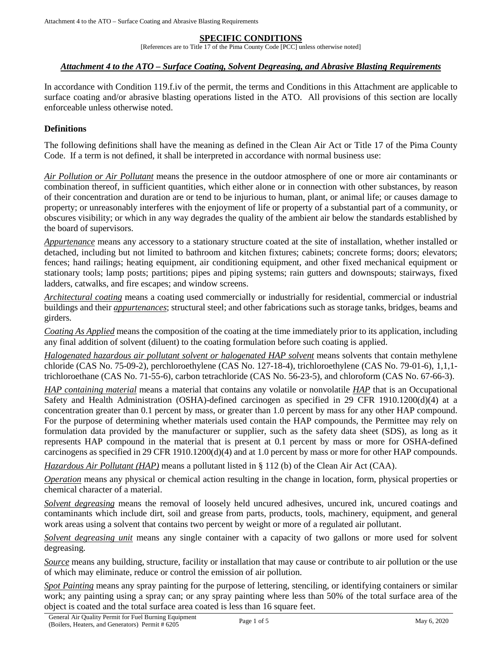#### **SPECIFIC CONDITIONS**

[References are to Title 17 of the Pima County Code [PCC] unless otherwise noted]

#### *Attachment 4 to the ATO – Surface Coating, Solvent Degreasing, and Abrasive Blasting Requirements*

In accordance with Condition 119.f.iv of the permit, the terms and Conditions in this Attachment are applicable to surface coating and/or abrasive blasting operations listed in the ATO. All provisions of this section are locally enforceable unless otherwise noted.

#### **Definitions**

The following definitions shall have the meaning as defined in the Clean Air Act or Title 17 of the Pima County Code. If a term is not defined, it shall be interpreted in accordance with normal business use:

*Air Pollution or Air Pollutant* means the presence in the outdoor atmosphere of one or more air contaminants or combination thereof, in sufficient quantities, which either alone or in connection with other substances, by reason of their concentration and duration are or tend to be injurious to human, plant, or animal life; or causes damage to property; or unreasonably interferes with the enjoyment of life or property of a substantial part of a community, or obscures visibility; or which in any way degrades the quality of the ambient air below the standards established by the board of supervisors.

<span id="page-4-0"></span>*Appurtenance* means any accessory to a stationary structure coated at the site of installation, whether installed or detached, including but not limited to bathroom and kitchen fixtures; cabinets; concrete forms; doors; elevators; fences; hand railings; heating equipment, air conditioning equipment, and other fixed mechanical equipment or stationary tools; lamp posts; partitions; pipes and piping systems; rain gutters and downspouts; stairways, fixed ladders, catwalks, and fire escapes; and window screens.

<span id="page-4-3"></span>*Architectural coating* means a coating used commercially or industrially for residential, commercial or industrial buildings and their *[appurtenances](#page-4-0)*; structural steel; and other fabrications such as storage tanks, bridges, beams and girders.

*Coating As Applied* means the composition of the coating at the time immediately prior to its application, including any final addition of solvent (diluent) to the coating formulation before such coating is applied.

*Halogenated hazardous air pollutant solvent or halogenated HAP solvent* means solvents that contain methylene chloride (CAS No. 75-09-2), perchloroethylene (CAS No. 127-18-4), trichloroethylene (CAS No. 79-01-6), 1,1,1 trichloroethane (CAS No. 71-55-6), carbon tetrachloride (CAS No. 56-23-5), and chloroform (CAS No. 67-66-3).

<span id="page-4-2"></span>*[HAP](#page-4-1) containing material* means a material that contains any volatile or nonvolatile *HAP* that is an Occupational Safety and Health Administration (OSHA)-defined carcinogen as specified in 29 CFR 1910.1200(d)(4) at a concentration greater than 0.1 percent by mass, or greater than 1.0 percent by mass for any other HAP compound. For the purpose of determining whether materials used contain the HAP compounds, the Permittee may rely on formulation data provided by the manufacturer or supplier, such as the safety data sheet (SDS), as long as it represents HAP compound in the material that is present at 0.1 percent by mass or more for OSHA-defined carcinogens as specified in 29 CFR 1910.1200(d)(4) and at 1.0 percent by mass or more for other HAP compounds.

<span id="page-4-1"></span>*Hazardous Air Pollutant (HAP)* means a pollutant listed in [§ 112 \(b\)](https://www.epa.gov/clean-air-act-overview/clean-air-act-title-i-air-pollution-prevention-and-control-parts-through-d#ia) of the Clean Air Act (CAA).

*Operation* means any physical or chemical action resulting in the change in location, form, physical properties or chemical character of a material.

*Solvent degreasing* means the removal of loosely held uncured adhesives, uncured ink, uncured coatings and contaminants which include dirt, soil and grease from parts, products, tools, machinery, equipment, and general work areas using a solvent that contains two percent by weight or more of a regulated air pollutant.

<span id="page-4-5"></span>*Solvent degreasing unit* means any single container with a capacity of two gallons or more used for solvent degreasing.

*Source* means any building, structure, facility or installation that may cause or contribute to air pollution or the use of which may eliminate, reduce or control the emission of air pollution.

<span id="page-4-4"></span>*Spot Painting* means any spray painting for the purpose of lettering, stenciling, or identifying containers or similar work; any painting using a spray can; or any spray painting where less than 50% of the total surface area of the object is coated and the total surface area coated is less than 16 square feet.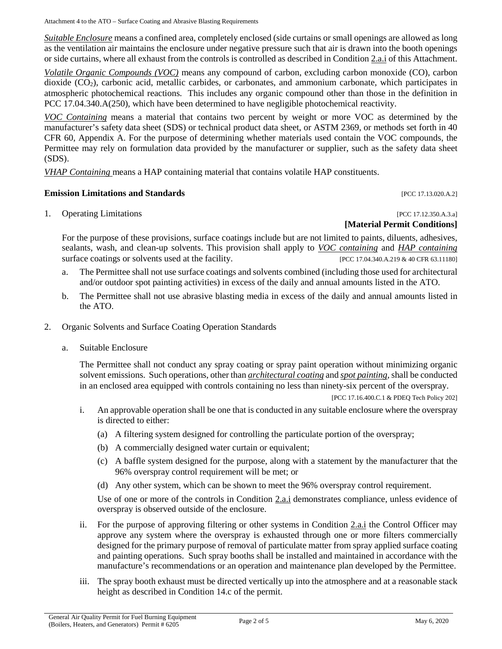Attachment 4 to the ATO – Surface Coating and Abrasive Blasting Requirements

*Suitable Enclosure* means a confined area, completely enclosed (side curtains or small openings are allowed as long as the ventilation air maintains the enclosure under negative pressure such that air is drawn into the booth openings or side curtains, where all exhaust from the controls is controlled as described in [Condition 2.a.i](#page-5-0) of this Attachment.

*Volatile Organic Compounds (VOC)* means any compound of carbon, excluding carbon monoxide (CO), carbon dioxide (CO2), carbonic acid, metallic carbides, or carbonates, and ammonium carbonate, which participates in atmospheric photochemical reactions. This includes any organic compound other than those in the definition in [PCC 17.04.340.A\(250\),](http://library.amlegal.com/nxt/gateway.dll/Arizona/pimacounty_az/title17airqualitycontrol?f=templates$fn=default.htm$3.0$vid=amlegal:pimacounty_az$anc=JD_17.04.340) which have been determined to have negligible photochemical reactivity.

<span id="page-5-1"></span>*VOC Containing* means a material that contains two percent by weight or more VOC as determined by the manufacturer's safety data sheet (SDS) or technical product data sheet, or ASTM 2369, or methods set forth in 40 CFR 60, Appendix A. For the purpose of determining whether materials used contain the VOC compounds, the Permittee may rely on formulation data provided by the manufacturer or supplier, such as the safety data sheet (SDS).

*VHAP Containing* means a [HAP containing material](#page-4-2) that contains volatile HAP constituents.

### **Emission Limitations and Standards Emission Limitations and Standards Exercísion**

1. Operating Limitations [PCC 17.12.350.A.3.a]

# **[Material Permit Conditions]**

For the purpose of these provisions, surface coatings include but are not limited to paints, diluents, adhesives, sealants, wash, and clean-up solvents. This provision shall apply to *[VOC containing](#page-5-1)* and *[HAP containing](#page-4-2)* surface coatings or solvents used at the facility. [PCC 17.04.340.A.219 & 40 CFR 63.11180]

- <span id="page-5-3"></span>a. The Permittee shall not use surface coatings and solvents combined (including those used for architectural and/or outdoor spot painting activities) in excess of the daily and annual amounts listed in the ATO.
- b. The Permittee shall not use abrasive blasting media in excess of the daily and annual amounts listed in the ATO.
- <span id="page-5-2"></span>2. Organic Solvents and Surface Coating Operation Standards
	- a. Suitable Enclosure

The Permittee shall not conduct any spray coating or spray paint operation without minimizing organic solvent emissions. Such operations, other than *[architectural coating](#page-4-3)* and *[spot painting](#page-4-4)*, shall be conducted in an enclosed area equipped with controls containing no less than ninety-six percent of the overspray.

[PCC 17.16.400.C.1 & PDEQ Tech Policy 202]

- <span id="page-5-0"></span>i. An approvable operation shall be one that is conducted in any suitable enclosure where the overspray is directed to either:
	- (a) A filtering system designed for controlling the particulate portion of the overspray;
	- (b) A commercially designed water curtain or equivalent;
	- (c) A baffle system designed for the purpose, along with a statement by the manufacturer that the 96% overspray control requirement will be met; or
	- (d) Any other system, which can be shown to meet the 96% overspray control requirement.

Use of one or more of the controls in [Condition 2.a.i](#page-5-0) demonstrates compliance, unless evidence of overspray is observed outside of the enclosure.

- ii. For the purpose of approving filtering or other systems in [Condition 2.a.i](#page-5-0) the Control Officer may approve any system where the overspray is exhausted through one or more filters commercially designed for the primary purpose of removal of particulate matter from spray applied surface coating and painting operations. Such spray booths shall be installed and maintained in accordance with the manufacture's recommendations or an operation and maintenance plan developed by the Permittee.
- iii. The spray booth exhaust must be directed vertically up into the atmosphere and at a reasonable stack height as described in Condition 14.c of the permit.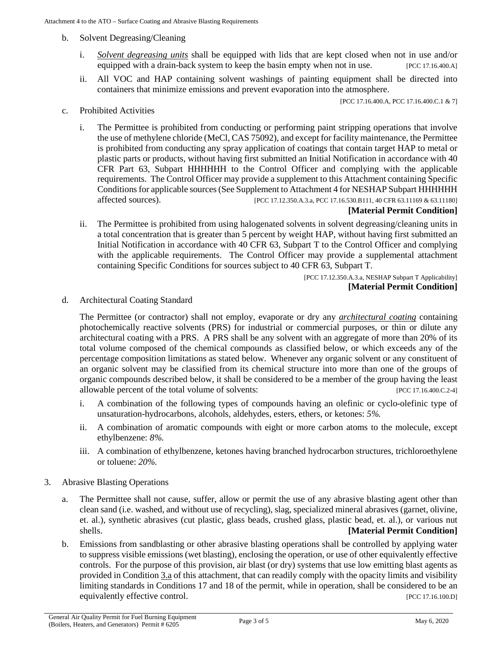- b. Solvent Degreasing/Cleaning
	- i. *[Solvent degreasing](#page-4-5) units* shall be equipped with lids that are kept closed when not in use and/or equipped with a drain-back system to keep the basin empty when not in use. [PCC 17.16.400.A]
	- ii. All VOC and HAP containing solvent washings of painting equipment shall be directed into containers that minimize emissions and prevent evaporation into the atmosphere.

[PCC 17.16.400.A, PCC 17.16.400.C.1 & 7]

- c. Prohibited Activities
	- i. The Permittee is prohibited from conducting or performing paint stripping operations that involve the use of methylene chloride (MeCl, CAS 75092), and except for facility maintenance, the Permittee is prohibited from conducting any spray application of coatings that contain target HAP to metal or plastic parts or products, without having first submitted an Initial Notification in accordance with 40 CFR Part 63, Subpart HHHHHH to the Control Officer and complying with the applicable requirements. The Control Officer may provide a supplement to this Attachment containing Specific Conditions for applicable sources (See Supplement to Attachment 4 for NESHAP Subpart HHHHHH affected sources). [PCC 17.12.350.A.3.a, PCC 17.16.530.B111, 40 CFR 63.11169 & 63.11180]

#### **[Material Permit Condition]**

ii. The Permittee is prohibited from using halogenated solvents in solvent degreasing/cleaning units in a total concentration that is greater than 5 percent by weight HAP, without having first submitted an Initial Notification in accordance with 40 CFR 63, Subpart T to the Control Officer and complying with the applicable requirements. The Control Officer may provide a supplemental attachment containing Specific Conditions for sources subject to 40 CFR 63, Subpart T.

> [PCC 17.12.350.A.3.a, NESHAP Subpart T Applicability] **[Material Permit Condition]**

<span id="page-6-1"></span>d. Architectural Coating Standard

The Permittee (or contractor) shall not employ, evaporate or dry any *[architectural coating](#page-4-3)* containing photochemically reactive solvents (PRS) for industrial or commercial purposes, or thin or dilute any architectural coating with a PRS. A PRS shall be any solvent with an aggregate of more than 20% of its total volume composed of the chemical compounds as classified below, or which exceeds any of the percentage composition limitations as stated below. Whenever any organic solvent or any constituent of an organic solvent may be classified from its chemical structure into more than one of the groups of organic compounds described below, it shall be considered to be a member of the group having the least allowable percent of the total volume of solvents: **EXECU 17.16.400.C.2-41** 

- i. A combination of the following types of compounds having an olefinic or cyclo-olefinic type of unsaturation-hydrocarbons, alcohols, aldehydes, esters, ethers, or ketones: *5%.*
- ii. A combination of aromatic compounds with eight or more carbon atoms to the molecule, except ethylbenzene: *8%*.
- iii. A combination of ethylbenzene, ketones having branched hydrocarbon structures, trichloroethylene or toluene: *20%*.
- <span id="page-6-0"></span>3. Abrasive Blasting Operations
	- a. The Permittee shall not cause, suffer, allow or permit the use of any abrasive blasting agent other than clean sand (i.e. washed, and without use of recycling), slag, specialized mineral abrasives (garnet, olivine, et. al.), synthetic abrasives (cut plastic, glass beads, crushed glass, plastic bead, et. al.), or various nut shells. **[Material Permit Condition]**
	- b. Emissions from sandblasting or other abrasive blasting operations shall be controlled by applying water to suppress visible emissions (wet blasting), enclosing the operation, or use of other equivalently effective controls. For the purpose of this provision, air blast (or dry) systems that use low emitting blast agents as provided in [Condition 3.a](#page-6-0) of this attachment, that can readily comply with the opacity limits and visibility limiting standards in Conditions 17 and 18 of the permit, while in operation, shall be considered to be an equivalently effective control.  $[PCC 17.16.100.D]$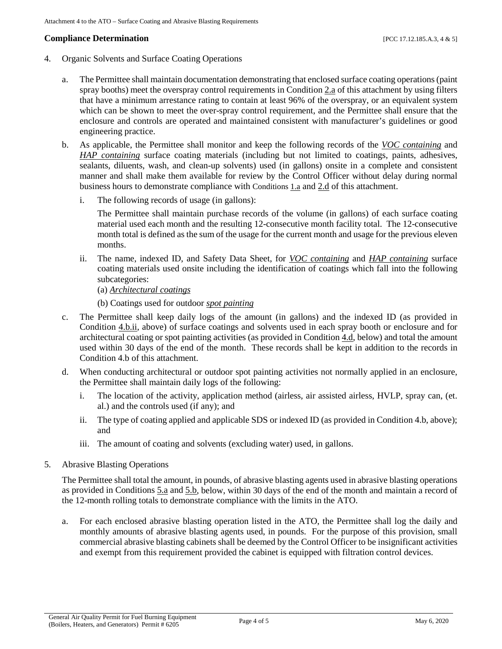# **Compliance Determination** [PCC 17.12.185.A.3, 4 & 5]

- 4. Organic Solvents and Surface Coating Operations
	- a. The Permittee shall maintain documentation demonstrating that enclosed surface coating operations (paint spray booths) meet the overspray control requirements i[n Condition 2.a](#page-5-2) of this attachment by using filters that have a minimum arrestance rating to contain at least 96% of the overspray, or an equivalent system which can be shown to meet the over-spray control requirement, and the Permittee shall ensure that the enclosure and controls are operated and maintained consistent with manufacturer's guidelines or good engineering practice.
	- b. As applicable, the Permittee shall monitor and keep the following records of the *[VOC containing](#page-5-1)* and *[HAP containing](#page-4-2)* surface coating materials (including but not limited to coatings, paints, adhesives, sealants, diluents, wash, and clean-up solvents) used (in gallons) onsite in a complete and consistent manner and shall make them available for review by the Control Officer without delay during normal business hours to demonstrate compliance with [Conditions 1.a](#page-5-3) an[d 2.d](#page-6-1) of this attachment.
		- i. The following records of usage (in gallons):

The Permittee shall maintain purchase records of the volume (in gallons) of each surface coating material used each month and the resulting 12-consecutive month facility total. The 12-consecutive month total is defined as the sum of the usage for the current month and usage for the previous eleven months.

- <span id="page-7-0"></span>ii. The name, indexed ID, and Safety Data Sheet, for *[VOC containing](#page-5-1)* and *[HAP containing](#page-4-2)* surface coating materials used onsite including the identification of coatings which fall into the following subcategories:
	- (a) *[Architectural coatings](#page-4-3)*
	- (b) Coatings used for outdoor *[spot painting](#page-4-4)*
- c. The Permittee shall keep daily logs of the amount (in gallons) and the indexed ID (as provided in [Condition 4.b.ii,](#page-7-0) above) of surface coatings and solvents used in each spray booth or enclosure and for architectural coating or spot painting activities (as provided i[n Condition 4.d,](#page-7-1) below) and total the amount used within 30 days of the end of the month. These records shall be kept in addition to the records in Condition 4.b of this attachment.
- <span id="page-7-1"></span>d. When conducting architectural or outdoor spot painting activities not normally applied in an enclosure, the Permittee shall maintain daily logs of the following:
	- i. The location of the activity, application method (airless, air assisted airless, HVLP, spray can, (et. al.) and the controls used (if any); and
	- ii. The type of coating applied and applicable SDS or indexed ID (as provided in Condition 4.b, above); and
	- iii. The amount of coating and solvents (excluding water) used, in gallons.
- 5. Abrasive Blasting Operations

The Permittee shall total the amount, in pounds, of abrasive blasting agents used in abrasive blasting operations as provided i[n Conditions 5.a](#page-7-2) and [5.b,](#page-7-3) below, within 30 days of the end of the month and maintain a record of the 12-month rolling totals to demonstrate compliance with the limits in the ATO.

<span id="page-7-3"></span><span id="page-7-2"></span>a. For each enclosed abrasive blasting operation listed in the ATO, the Permittee shall log the daily and monthly amounts of abrasive blasting agents used, in pounds. For the purpose of this provision, small commercial abrasive blasting cabinets shall be deemed by the Control Officer to be insignificant activities and exempt from this requirement provided the cabinet is equipped with filtration control devices.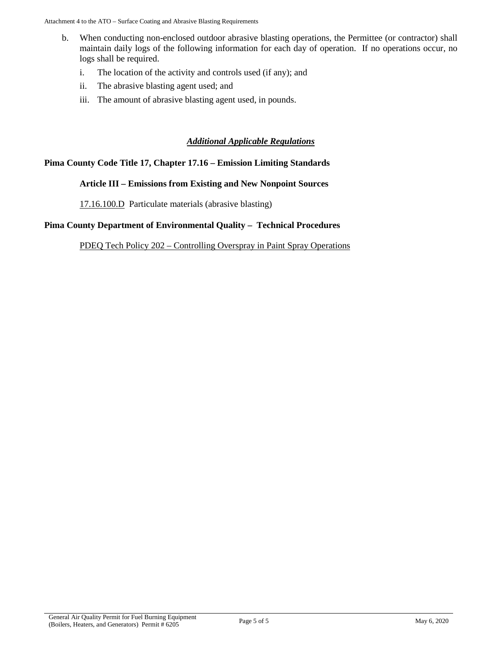- b. When conducting non-enclosed outdoor abrasive blasting operations, the Permittee (or contractor) shall maintain daily logs of the following information for each day of operation. If no operations occur, no logs shall be required.
	- i. The location of the activity and controls used (if any); and
	- ii. The abrasive blasting agent used; and
	- iii. The amount of abrasive blasting agent used, in pounds.

### *Additional Applicable Regulations*

### **Pima County Code Title 17, Chapter 17.16 – Emission Limiting Standards**

#### **Article III – Emissions from Existing and New Nonpoint Sources**

[17.16.100.D](https://tinyurl.com/17-16-100-A) Particulate materials (abrasive blasting)

### **Pima County Department of Environmental Quality – Technical Procedures**

PDEQ Tech Policy 202 – [Controlling Overspray in Paint Spray Operations](https://webcms.pima.gov/UserFiles/Servers/Server_6/File/Government/Environmental%20Quality/Rules%20and%20Regulations/TECH-202_Controlling_Overspray_in_Paint_Spray_Operations.pdf)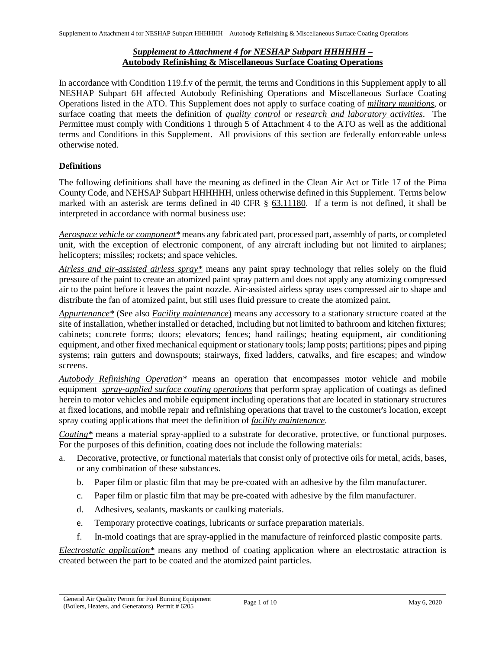# *Supplement to Attachment 4 for NESHAP Subpart HHHHHH –* **Autobody Refinishing & Miscellaneous Surface Coating Operations**

In accordance with Condition 119.f.v of the permit, the terms and Conditions in this Supplement apply to all NESHAP Subpart 6H affected Autobody Refinishing Operations and [Miscellaneous Surface Coating](#page-10-0)  [Operations](#page-10-0) listed in the ATO. This Supplement does not apply to surface coating of *[military munitions](#page-10-1)*, or surface coating that meets the definition of *[quality control](#page-11-0)* or *[research and laboratory activities](#page-11-1)*. The Permittee must comply with Conditions 1 through 5 of Attachment 4 to the ATO as well as the additional terms and Conditions in this Supplement. All provisions of this section are federally enforceable unless otherwise noted.

# **Definitions**

The following definitions shall have the meaning as defined in the Clean Air Act or Title 17 of the Pima County Code, an[d NEHSAP Subpart HHHHHH,](https://www.ecfr.gov/cgi-bin/text-idx?SID=51195cf85e0dc53c6f747ed89da219b6&mc=true&node=sp40.16.63.hhhhhh&rgn=div6) unless otherwise defined in this Supplement. Terms below marked with an asterisk are terms defined in [40 CFR § 63.11180.](https://www.ecfr.gov/cgi-bin/text-idx?SID=7c16c900cf5ccbcbf93550aead210b0d&mc=true&node=se40.16.63_111180&rgn=div8) If a term is not defined, it shall be interpreted in accordance with normal business use:

<span id="page-9-4"></span>*Aerospace vehicle or component\** means any fabricated part, processed part, assembly of parts, or completed unit, with the exception of electronic component, of any aircraft including but not limited to airplanes; helicopters; missiles; rockets; and space vehicles.

<span id="page-9-3"></span>*Airless and air-assisted airless spray\** means any paint spray technology that relies solely on the fluid pressure of the paint to create an atomized paint spray pattern and does not apply any atomizing compressed air to the paint before it leaves the paint nozzle. Air-assisted airless spray uses compressed air to shape and distribute the fan of atomized paint, but still uses fluid pressure to create the atomized paint.

<span id="page-9-0"></span>*Appurtenance\** (See also *[Facility maintenance](#page-10-2)*) means any accessory to a stationary structure coated at the site of installation, whether installed or detached, including but not limited to bathroom and kitchen fixtures; cabinets; concrete forms; doors; elevators; fences; hand railings; heating equipment, air conditioning equipment, and other fixed mechanical equipment or stationary tools; lamp posts; partitions; pipes and piping systems; rain gutters and downspouts; stairways, fixed ladders, catwalks, and fire escapes; and window screens.

<span id="page-9-5"></span>*Autobody Refinishing Operation\** means an operation that encompasses motor vehicle and mobile equipment *[spray-applied surface coating operations](#page-12-0)* that perform spray application of coatings as defined herein to motor vehicles and mobile equipment including operations that are located in stationary structures at fixed locations, and mobile repair and refinishing operations that travel to the customer's location, except spray coating applications that meet the definition of *[facility maintenance](#page-10-2)*.

<span id="page-9-1"></span>*Coating\** means a material spray-applied to a substrate for decorative, protective, or functional purposes. For the purposes of this definition, coating does not include the following materials:

- a. Decorative, protective, or functional materials that consist only of protective oils for metal, acids, bases, or any combination of these substances.
	- b. Paper film or plastic film that may be pre-coated with an adhesive by the film manufacturer.
	- c. Paper film or plastic film that may be pre-coated with adhesive by the film manufacturer.
	- d. Adhesives, sealants, maskants or caulking materials.
	- e. Temporary protective coatings, lubricants or surface preparation materials.
	- f. In-mold coatings that are spray-applied in the manufacture of reinforced plastic composite parts.

<span id="page-9-2"></span>*Electrostatic application\** means any method of coating application where an electrostatic attraction is created between the part to be coated and the atomized paint particles.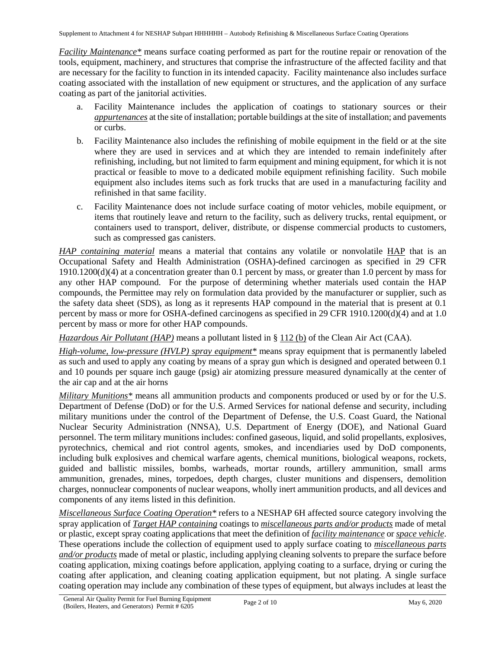<span id="page-10-2"></span>*Facility Maintenance\** means surface coating performed as part for the routine repair or renovation of the tools, equipment, machinery, and structures that comprise the infrastructure of the affected facility and that are necessary for the facility to function in its intended capacity. Facility maintenance also includes surface coating associated with the installation of new equipment or structures, and the application of any surface coating as part of the janitorial activities.

- a. Facility Maintenance includes the application of coatings to stationary sources or their *[appurtenances](#page-9-0)* at the site of installation; portable buildings at the site of installation; and pavements or curbs.
- b. Facility Maintenance also includes the refinishing of mobile equipment in the field or at the site where they are used in services and at which they are intended to remain indefinitely after refinishing, including, but not limited to farm equipment and mining equipment, for which it is not practical or feasible to move to a dedicated mobile equipment refinishing facility. Such mobile equipment also includes items such as fork trucks that are used in a manufacturing facility and refinished in that same facility.
- c. Facility Maintenance does not include surface coating of motor vehicles, mobile equipment, or items that routinely leave and return to the facility, such as delivery trucks, rental equipment, or containers used to transport, deliver, distribute, or dispense commercial products to customers, such as compressed gas canisters.

<span id="page-10-4"></span>*[HAP](#page-10-3) containing material* means a material that contains any volatile or nonvolatile *HAP* that is an Occupational Safety and Health Administration (OSHA)-defined carcinogen as specified in 29 CFR 1910.1200(d)(4) at a concentration greater than 0.1 percent by mass, or greater than 1.0 percent by mass for any other HAP compound. For the purpose of determining whether materials used contain the HAP compounds, the Permittee may rely on formulation data provided by the manufacturer or supplier, such as the safety data sheet (SDS), as long as it represents HAP compound in the material that is present at 0.1 percent by mass or more for OSHA-defined carcinogens as specified in 29 CFR 1910.1200(d)(4) and at 1.0 percent by mass or more for other HAP compounds.

<span id="page-10-3"></span>*Hazardous Air Pollutant (HAP)* means a pollutant listed in [§ 112 \(b\)](https://www.epa.gov/clean-air-act-overview/clean-air-act-title-i-air-pollution-prevention-and-control-parts-through-d#ia) of the Clean Air Act (CAA).

<span id="page-10-5"></span>*High-volume, low-pressure (HVLP) spray equipment\** means spray equipment that is permanently labeled as such and used to apply any coating by means of a spray gun which is designed and operated between 0.1 and 10 pounds per square inch gauge (psig) air atomizing pressure measured dynamically at the center of the air cap and at the air horns

<span id="page-10-1"></span>*Military Munitions\** means all ammunition products and components produced or used by or for the U.S. Department of Defense (DoD) or for the U.S. Armed Services for national defense and security, including military munitions under the control of the Department of Defense, the U.S. Coast Guard, the National Nuclear Security Administration (NNSA), U.S. Department of Energy (DOE), and National Guard personnel. The term military munitions includes: confined gaseous, liquid, and solid propellants, explosives, pyrotechnics, chemical and riot control agents, smokes, and incendiaries used by DoD components, including bulk explosives and chemical warfare agents, chemical munitions, biological weapons, rockets, guided and ballistic missiles, bombs, warheads, mortar rounds, artillery ammunition, small arms ammunition, grenades, mines, torpedoes, depth charges, cluster munitions and dispensers, demolition charges, nonnuclear components of nuclear weapons, wholly inert ammunition products, and all devices and components of any items listed in this definition.

<span id="page-10-0"></span>*Miscellaneous Surface Coating Operation\** refers to a NESHAP 6H affected source category involving the spray application of *[Target HAP containing](#page-12-1)* coatings to *[miscellaneous parts and/or products](#page-11-2)* made of metal or plastic, except spray coating applications that meet the definition of *[facility maintenance](#page-10-2)* or *[space vehicle](#page-12-2)*. These operations include the collection of equipment used to apply surface coating to *[miscellaneous parts](#page-11-2)  [and/or products](#page-11-2)* made of metal or plastic, including applying cleaning solvents to prepare the surface before coating application, mixing coatings before application, applying coating to a surface, drying or curing the coating after application, and cleaning coating application equipment, but not plating. A single surface coating operation may include any combination of these types of equipment, but always includes at least the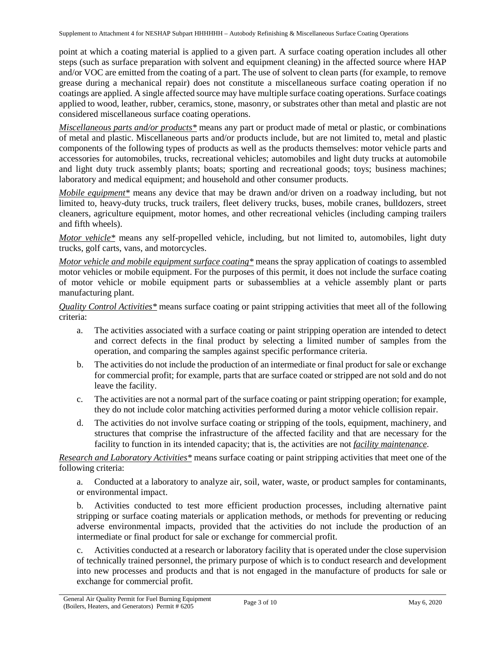Supplement to Attachment 4 for NESHAP Subpart HHHHHH – Autobody Refinishing & Miscellaneous Surface Coating Operations

point at which a coating material is applied to a given part. A surface coating operation includes all other steps (such as surface preparation with solvent and equipment cleaning) in the affected source where HAP and/or VOC are emitted from the coating of a part. The use of solvent to clean parts (for example, to remove grease during a mechanical repair) does not constitute a miscellaneous surface coating operation if no coatings are applied. A single affected source may have multiple surface coating operations. Surface coatings applied to wood, leather, rubber, ceramics, stone, masonry, or substrates other than metal and plastic are not considered miscellaneous surface coating operations.

<span id="page-11-2"></span>*Miscellaneous parts and/or products\** means any part or product made of metal or plastic, or combinations of metal and plastic. Miscellaneous parts and/or products include, but are not limited to, metal and plastic components of the following types of products as well as the products themselves: motor vehicle parts and accessories for automobiles, trucks, recreational vehicles; automobiles and light duty trucks at automobile and light duty truck assembly plants; boats; sporting and recreational goods; toys; business machines; laboratory and medical equipment; and household and other consumer products.

<span id="page-11-4"></span>*Mobile equipment\** means any device that may be drawn and/or driven on a roadway including, but not limited to, heavy-duty trucks, truck trailers, fleet delivery trucks, buses, mobile cranes, bulldozers, street cleaners, agriculture equipment, motor homes, and other recreational vehicles (including camping trailers and fifth wheels).

<span id="page-11-3"></span>*Motor vehicle\** means any self-propelled vehicle, including, but not limited to, automobiles, light duty trucks, golf carts, vans, and motorcycles.

*Motor vehicle and mobile equipment surface coating\** means the spray application of coatings to assembled motor vehicles or mobile equipment. For the purposes of this permit, it does not include the surface coating of motor vehicle or mobile equipment parts or subassemblies at a vehicle assembly plant or parts manufacturing plant.

<span id="page-11-0"></span>*Quality Control Activities\** means surface coating or paint stripping activities that meet all of the following criteria:

- a. The activities associated with a surface coating or paint stripping operation are intended to detect and correct defects in the final product by selecting a limited number of samples from the operation, and comparing the samples against specific performance criteria.
- b. The activities do not include the production of an intermediate or final product for sale or exchange for commercial profit; for example, parts that are surface coated or stripped are not sold and do not leave the facility.
- c. The activities are not a normal part of the surface coating or paint stripping operation; for example, they do not include color matching activities performed during a motor vehicle collision repair.
- d. The activities do not involve surface coating or stripping of the tools, equipment, machinery, and structures that comprise the infrastructure of the affected facility and that are necessary for the facility to function in its intended capacity; that is, the activities are not *[facility maintenance](#page-10-2)*.

<span id="page-11-1"></span>*Research and Laboratory Activities\** means surface coating or paint stripping activities that meet one of the following criteria:

a. Conducted at a laboratory to analyze air, soil, water, waste, or product samples for contaminants, or environmental impact.

b. Activities conducted to test more efficient production processes, including alternative paint stripping or surface coating materials or application methods, or methods for preventing or reducing adverse environmental impacts, provided that the activities do not include the production of an intermediate or final product for sale or exchange for commercial profit.

c. Activities conducted at a research or laboratory facility that is operated under the close supervision of technically trained personnel, the primary purpose of which is to conduct research and development into new processes and products and that is not engaged in the manufacture of products for sale or exchange for commercial profit.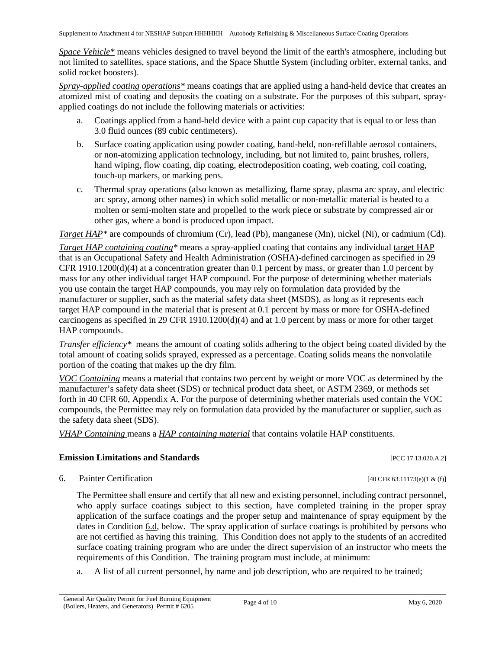Supplement to Attachment 4 for NESHAP Subpart HHHHHH – Autobody Refinishing & Miscellaneous Surface Coating Operations

<span id="page-12-2"></span>*Space Vehicle\** means vehicles designed to travel beyond the limit of the earth's atmosphere, including but not limited to satellites, space stations, and the Space Shuttle System (including orbiter, external tanks, and solid rocket boosters).

<span id="page-12-0"></span>*Spray-applied coating operations\** means coatings that are applied using a hand-held device that creates an atomized mist of coating and deposits the coating on a substrate. For the purposes of this subpart, sprayapplied coatings do not include the following materials or activities:

- a. Coatings applied from a hand-held device with a paint cup capacity that is equal to or less than 3.0 fluid ounces (89 cubic centimeters).
- b. Surface coating application using powder coating, hand-held, non-refillable aerosol containers, or non-atomizing application technology, including, but not limited to, paint brushes, rollers, hand wiping, flow coating, dip coating, electrodeposition coating, web coating, coil coating, touch-up markers, or marking pens.
- c. Thermal spray operations (also known as metallizing, flame spray, plasma arc spray, and electric arc spray, among other names) in which solid metallic or non-metallic material is heated to a molten or semi-molten state and propelled to the work piece or substrate by compressed air or other gas, where a bond is produced upon impact.

*Target HAP*<sup>\*</sup> are compounds of chromium (Cr), lead (Pb), manganese (Mn), nickel (Ni), or cadmium (Cd).

<span id="page-12-1"></span>*Target HAP containing coating*<sup>\*</sup> means a spray-applied coating that contains any individual target HAP that is an Occupational Safety and Health Administration (OSHA)-defined carcinogen as specified in 29 CFR 1910.1200(d)(4) at a concentration greater than 0.1 percent by mass, or greater than 1.0 percent by mass for any other individual target HAP compound. For the purpose of determining whether materials you use contain the target HAP compounds, you may rely on formulation data provided by the manufacturer or supplier, such as the material safety data sheet (MSDS), as long as it represents each target HAP compound in the material that is present at 0.1 percent by mass or more for OSHA-defined carcinogens as specified in 29 CFR 1910.1200(d)(4) and at 1.0 percent by mass or more for other target HAP compounds.

<span id="page-12-3"></span>*Transfer efficiency\** means the amount of coating solids adhering to the object being coated divided by the total amount of coating solids sprayed, expressed as a percentage. Coating solids means the nonvolatile portion of the coating that makes up the dry film.

<span id="page-12-4"></span>*VOC Containing* means a material that contains two percent by weight or more VOC as determined by the manufacturer's safety data sheet (SDS) or technical product data sheet, or ASTM 2369, or methods set forth in 40 CFR 60, Appendix A. For the purpose of determining whether materials used contain the VOC compounds, the Permittee may rely on formulation data provided by the manufacturer or supplier, such as the safety data sheet (SDS).

<span id="page-12-5"></span>*VHAP Containing* means a *[HAP containing material](#page-10-4)* that contains volatile HAP constituents.

### **Emission Limitations and Standards** [PCC 17.13.020.A.2]

<span id="page-12-6"></span>6. Painter Certification  $[40 \text{ CFR } 63.11173\text{ (e)} (1 \& (f)]$ 

The Permittee shall ensure and certify that all new and existing personnel, including contract personnel, who apply surface coatings subject to this section, have completed training in the proper spray application of the surface coatings and the proper setup and maintenance of spray equipment by the dates in [Condition 6.d, below.](#page-13-0) The spray application of surface coatings is prohibited by persons who are not certified as having this training. This Condition does not apply to the students of an accredited surface coating training program who are under the direct supervision of an instructor who meets the requirements of this Condition. The training program must include, at minimum:

a. A list of all current personnel, by name and job description, who are required to be trained;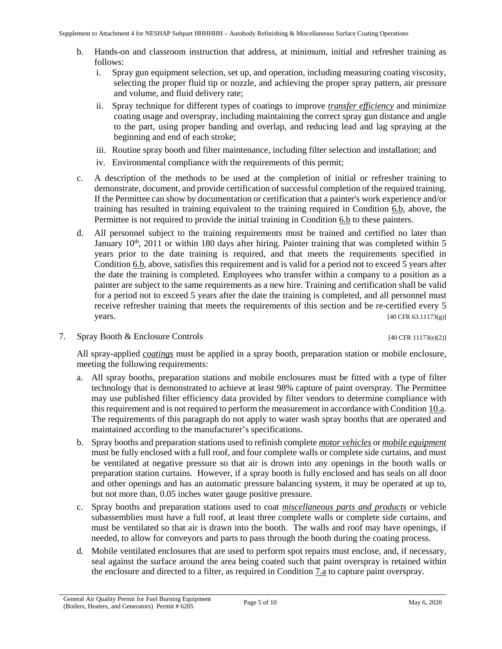- <span id="page-13-1"></span>b. Hands-on and classroom instruction that address, at minimum, initial and refresher training as follows:
	- i. Spray gun equipment selection, set up, and operation, including measuring coating viscosity, selecting the proper fluid tip or nozzle, and achieving the proper spray pattern, air pressure and volume, and fluid delivery rate;
	- ii. Spray technique for different types of coatings to improve *[transfer efficiency](#page-12-3)* and minimize coating usage and overspray, including maintaining the correct spray gun distance and angle to the part, using proper banding and overlap, and reducing lead and lag spraying at the beginning and end of each stroke;
	- iii. Routine spray booth and filter maintenance, including filter selection and installation; and
	- iv. Environmental compliance with the requirements of this permit;
- c. A description of the methods to be used at the completion of initial or refresher training to demonstrate, document, and provide certification of successful completion of the required training. If the Permittee can show by documentation or certification that a painter's work experience and/or training has resulted in training equivalent to the training required in [Condition 6.b,](#page-13-1) above, the Permittee is not required to provide the initial training in [Condition 6.b](#page-13-1) to these painters.
- <span id="page-13-0"></span>d. All personnel subject to the training requirements must be trained and certified no later than January 10<sup>th</sup>, 2011 or within 180 days after hiring. Painter training that was completed within 5 years prior to the date training is required, and that meets the requirements specified in [Condition](#page-13-1) 6.b, above, satisfies this requirement and is valid for a period not to exceed 5 years after the date the training is completed. Employees who transfer within a company to a position as a painter are subject to the same requirements as a new hire. Training and certification shall be valid for a period not to exceed 5 years after the date the training is completed, and all personnel must receive refresher training that meets the requirements of this section and be re-certified every 5 years. [40 CFR 63.11173(g)]
- 7. Spray Booth & Enclosure Controls [40 CFR 11173(e)(2)]

All spray-applied *[coatings](#page-9-1)* must be applied in a spray booth, preparation station or mobile enclosure, meeting the following requirements:

- <span id="page-13-2"></span>a. All spray booths, preparation stations and mobile enclosures must be fitted with a type of filter technology that is demonstrated to achieve at least 98% capture of paint overspray. The Permittee may use published filter efficiency data provided by filter vendors to determine compliance with this requirement and is not required to perform the measurement in accordance wit[h Condition](#page-15-0) 10.a. The requirements of this paragraph do not apply to water wash spray booths that are operated and maintained according to the manufacturer's specifications.
- b. Spray booths and preparation stations used to refinish complete *[motor vehicles](#page-11-3)* or *[mobile equipment](#page-11-4)* must be fully enclosed with a full roof, and four complete walls or complete side curtains, and must be ventilated at negative pressure so that air is drown into any openings in the booth walls or preparation station curtains. However, if a spray booth is fully enclosed and has seals on all door and other openings and has an automatic pressure balancing system, it may be operated at up to, but not more than, 0.05 inches water gauge positive pressure.
- c. Spray booths and preparation stations used to coat *[miscellaneous parts and products](#page-11-2)* or vehicle subassemblies must have a full roof, at least three complete walls or complete side curtains, and must be ventilated so that air is drawn into the booth. The walls and roof may have openings, if needed, to allow for conveyors and parts to pass through the booth during the coating process.
- d. Mobile ventilated enclosures that are used to perform spot repairs must enclose, and, if necessary, seal against the surface around the area being coated such that paint overspray is retained within the enclosure and directed to a filter, as required in [Condition 7.a](#page-13-2) to capture paint overspray.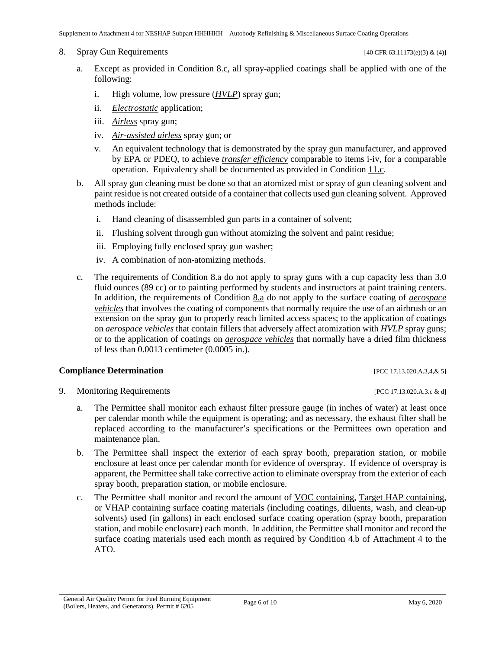<span id="page-14-1"></span>8. Spray Gun Requirements  $[40 \text{ CFR } 63.11173\text{(e)}(3) \& (4)]$ 

- a. Except as provided in [Condition 8.c,](#page-14-0) all spray-applied coatings shall be applied with one of the following:
	- i. High volume, low pressure (*[HVLP](#page-10-5)*) spray gun;
	- ii. *[Electrostatic](#page-9-2)* application;
	- iii. *[Airless](#page-9-3)* spray gun;
	- iv. *[Air-assisted airless](#page-9-3)* spray gun; or
	- v. An equivalent technology that is demonstrated by the spray gun manufacturer, and approved by EPA or PDEQ, to achieve *[transfer efficiency](#page-12-3)* comparable to items i-iv, for a comparable operation. Equivalency shall be documented as provided in [Condition 11.c.](#page-15-1)
- b. All spray gun cleaning must be done so that an atomized mist or spray of gun cleaning solvent and paint residue is not created outside of a container that collects used gun cleaning solvent. Approved methods include:
	- i. Hand cleaning of disassembled gun parts in a container of solvent;
	- ii. Flushing solvent through gun without atomizing the solvent and paint residue;
	- iii. Employing fully enclosed spray gun washer;
	- iv. A combination of non-atomizing methods.
- <span id="page-14-0"></span>c. The requirements of [Condition 8.a](#page-14-1) do not apply to spray guns with a cup capacity less than 3.0 fluid ounces (89 cc) or to painting performed by students and instructors at paint training centers. In addition, the requirements of [Condition 8.a](#page-14-1) do not apply to the surface coating of *[aerospace](#page-9-4)  [vehicles](#page-9-4)* that involves the coating of components that normally require the use of an airbrush or an extension on the spray gun to properly reach limited access spaces; to the application of coatings on *[aerospace vehicles](#page-9-4)* that contain fillers that adversely affect atomization with *[HVLP](#page-10-5)* spray guns; or to the application of coatings on *[aerospace vehicles](#page-9-4)* that normally have a dried film thickness of less than 0.0013 centimeter (0.0005 in.).

### **Compliance Determination** [PCC 17.13.020.A.3,4,& 5]

- <span id="page-14-2"></span>9. Monitoring Requirements [PCC 17.13.020.A.3.c & d]
	- a. The Permittee shall monitor each exhaust filter pressure gauge (in inches of water) at least once per calendar month while the equipment is operating; and as necessary, the exhaust filter shall be replaced according to the manufacturer's specifications or the Permittees own operation and maintenance plan.
	- b. The Permittee shall inspect the exterior of each spray booth, preparation station, or mobile enclosure at least once per calendar month for evidence of overspray. If evidence of overspray is apparent, the Permittee shall take corrective action to eliminate overspray from the exterior of each spray booth, preparation station, or mobile enclosure.
	- c. The Permittee shall monitor and record the amount of [VOC containing,](#page-12-4) [Target HAP containing,](#page-12-1) or [VHAP containing](#page-12-5) surface coating materials (including coatings, diluents, wash, and clean-up solvents) used (in gallons) in each enclosed surface coating operation (spray booth, preparation station, and mobile enclosure) each month. In addition, the Permittee shall monitor and record the surface coating materials used each month as required by Condition 4.b of Attachment 4 to the ATO.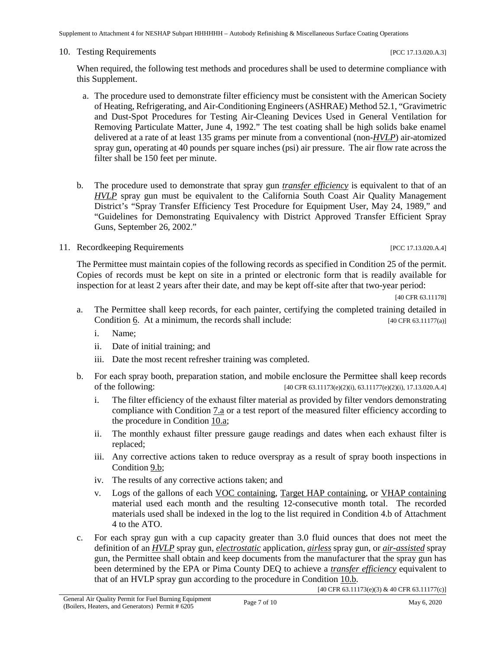Supplement to Attachment 4 for NESHAP Subpart HHHHHH – Autobody Refinishing & Miscellaneous Surface Coating Operations

#### 10. Testing Requirements **[PCC 17.13.020.A.3]**

When required, the following test methods and procedures shall be used to determine compliance with this Supplement.

- <span id="page-15-0"></span>a. The procedure used to demonstrate filter efficiency must be consistent with the American Society of Heating, Refrigerating, and Air-Conditioning Engineers (ASHRAE) Method 52.1, "Gravimetric and Dust-Spot Procedures for Testing Air-Cleaning Devices Used in General Ventilation for Removing Particulate Matter, June 4, 1992." The test coating shall be high solids bake enamel delivered at a rate of at least 135 grams per minute from a conventional (non-*[HVLP](#page-10-5)*) air-atomized spray gun, operating at 40 pounds per square inches (psi) air pressure. The air flow rate across the filter shall be 150 feet per minute.
- <span id="page-15-2"></span>b. The procedure used to demonstrate that spray gun *[transfer efficiency](#page-12-3)* is equivalent to that of an *[HVLP](#page-10-5)* spray gun must be equivalent to the California South Coast Air Quality Management District's "Spray Transfer Efficiency Test Procedure for Equipment User, May 24, 1989," and "Guidelines for Demonstrating Equivalency with District Approved Transfer Efficient Spray Guns, September 26, 2002."

# 11. Recordkeeping Requirements [PCC 17.13.020.A.4]

The Permittee must maintain copies of the following records as specified in Condition 25 of the permit. Copies of records must be kept on site in a printed or electronic form that is readily available for inspection for at least 2 years after their date, and may be kept off-site after that two-year period:

[40 CFR 63.11178]

- a. The Permittee shall keep records, for each painter, certifying the completed training detailed in Condition  $\underline{6}$ . At a minimum, the records shall include: [40 CFR 63.11177(a)]
	- i. Name;
	- ii. Date of initial training; and
	- iii. Date the most recent refresher training was completed.
- b. For each spray booth, preparation station, and mobile enclosure the Permittee shall keep records of the following: [40 CFR 63.11173(e)(2)(i), 63.11177(e)(2)(i), 17.13.020.A.4]
	- i. The filter efficiency of the exhaust filter material as provided by filter vendors demonstrating compliance with [Condition 7.a](#page-13-2) or a test report of the measured filter efficiency according to the procedure in [Condition](#page-15-0) 10.a;
	- ii. The monthly exhaust filter pressure gauge readings and dates when each exhaust filter is replaced;
	- iii. Any corrective actions taken to reduce overspray as a result of spray booth inspections in [Condition](#page-14-2) 9.b;
	- iv. The results of any corrective actions taken; and
	- v. Logs of the gallons of each [VOC containing,](#page-12-4) [Target HAP containing,](#page-12-1) or [VHAP containing](#page-12-5) material used each month and the resulting 12-consecutive month total. The recorded materials used shall be indexed in the log to the list required in Condition 4.b of Attachment 4 to the ATO.
- <span id="page-15-1"></span>c. For each spray gun with a cup capacity greater than 3.0 fluid ounces that does not meet the definition of an *[HVLP](#page-10-5)* spray gun, *[electrostatic](#page-9-2)* application, *[airless](#page-9-3)* spray gun, or *[air-assisted](#page-9-3)* spray gun, the Permittee shall obtain and keep documents from the manufacturer that the spray gun has been determined by the EPA or Pima County DEQ to achieve a *[transfer efficiency](#page-12-3)* equivalent to that of an HVLP spray gun according to the procedure in [Condition 10.b.](#page-15-2)

[40 CFR 63.11173(e)(3) & 40 CFR 63.11177(c)]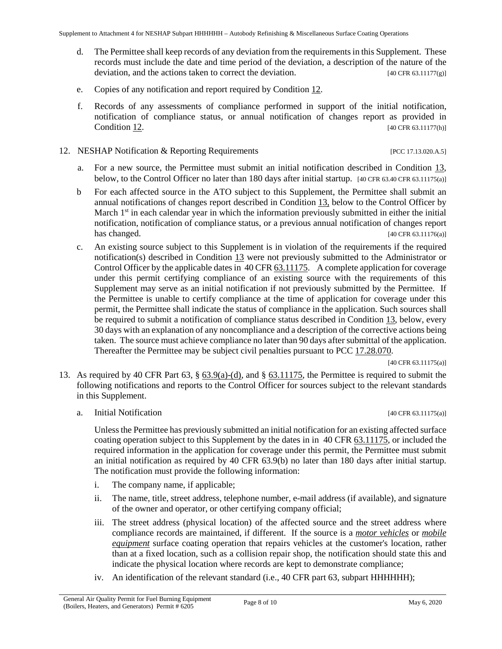- d. The Permittee shall keep records of any deviation from the requirements in this Supplement. These records must include the date and time period of the deviation, a description of the nature of the deviation, and the actions taken to correct the deviation. [40 CFR 63.11177(g)]
- e. Copies of any notification and report required by [Condition 12.](#page-16-0)
- f. Records of any assessments of compliance performed in support of the initial notification, notification of compliance status, or annual notification of changes report as provided in **[Condition](#page-16-0) 12.** [40 CFR 63.11177(h)]

#### <span id="page-16-0"></span>12. NESHAP Notification & Reporting Requirements [PCC 17.13.020.A.5]

- a. For a new source, the Permittee must submit an initial notification described in [Condition 13,](#page-16-1) below, to the Control Officer no later than 180 days after initial startup. [40 CFR 63.40 CFR 63.11175(a)]
- b For each affected source in the ATO subject to this Supplement, the Permittee shall submit an annual notifications of changes report described in [Condition 13,](#page-16-1) below to the Control Officer by March  $1<sup>st</sup>$  in each calendar year in which the information previously submitted in either the initial notification, notification of compliance status, or a previous annual notification of changes report has changed. [40 CFR 63.11176(a)]
- <span id="page-16-3"></span>c. An existing source subject to this Supplement is in violation of the requirements if the required notification(s) described in [Condition 13](#page-16-1) were not previously submitted to the Administrator or Control Officer by the applicable date[s in 40 CFR 63.11175.](https://www.ecfr.gov/cgi-bin/text-idx?SID=ab9fe8581e32537ff721d46c524c5617&mc=true&node=sp40.16.63.hhhhhh&rgn=div6#se40.16.63_111175) A complete application for coverage under this permit certifying compliance of an existing source with the requirements of this Supplement may serve as an initial notification if not previously submitted by the Permittee. If the Permittee is unable to certify compliance at the time of application for coverage under this permit, the Permittee shall indicate the status of compliance in the application. Such sources shall be required to submit a notification of compliance status described in [Condition 13,](#page-16-1) below, every 30 days with an explanation of any noncompliance and a description of the corrective actions being taken. The source must achieve compliance no later than 90 days after submittal of the application. Thereafter the Permittee may be subject civil penalties pursuant t[o PCC 17.28.070.](http://library.amlegal.com/nxt/gateway.dll/Arizona/pimacounty_az/title17airqualitycontrol/chapter1728violationsandconditionalorder?f=templates$fn=default.htm$3.0$vid=amlegal:pimacounty_az$anc=JD_17.28.070)

[40 CFR 63.11175(a)]

- <span id="page-16-2"></span><span id="page-16-1"></span>13. As required by 40 CFR Part 63, § [63.9\(a\)-\(d\),](https://tinyurl.com/40-CFR-63-9) and § [63.11175,](https://www.ecfr.gov/cgi-bin/text-idx?SID=ab9fe8581e32537ff721d46c524c5617&mc=true&node=sp40.16.63.hhhhhh&rgn=div6#se40.16.63_111175) the Permittee is required to submit the following notifications and reports to the Control Officer for sources subject to the relevant standards in this Supplement.
	- a. Initial Notification [40 CFR 63.11175(a)]

Unless the Permittee has previously submitted an initial notification for an existing affected surface coating operation subject to this Supplement by the dates in [in 40 CFR 63.11175,](https://www.ecfr.gov/cgi-bin/text-idx?SID=ab9fe8581e32537ff721d46c524c5617&mc=true&node=sp40.16.63.hhhhhh&rgn=div6#se40.16.63_111175) or included the required information in the application for coverage under this permit, the Permittee must submit an initial notification as required by 40 CFR 63.9(b) no later than 180 days after initial startup. The notification must provide the following information:

- i. The company name, if applicable;
- ii. The name, title, street address, telephone number, e-mail address (if available), and signature of the owner and operator, or other certifying company official;
- iii. The street address (physical location) of the affected source and the street address where compliance records are maintained, if different. If the source is a *[motor vehicles](#page-11-3)* or *[mobile](#page-11-4)  [equipment](#page-11-4)* surface coating operation that repairs vehicles at the customer's location, rather than at a fixed location, such as a collision repair shop, the notification should state this and indicate the physical location where records are kept to demonstrate compliance;
- iv. An identification of the relevant standard (i.e., 40 CFR part 63, subpart HHHHHH);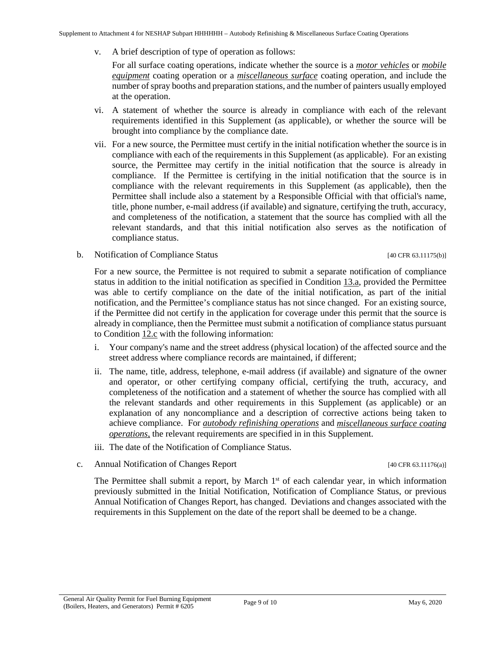v. A brief description of type of operation as follows:

For all surface coating operations, indicate whether the source is a *[motor vehicles](#page-11-3)* or *[mobile](#page-11-4)  [equipment](#page-11-4)* coating operation or a *[miscellaneous surface](#page-10-0)* coating operation, and include the number of spray booths and preparation stations, and the number of painters usually employed at the operation.

- vi. A statement of whether the source is already in compliance with each of the relevant requirements identified in this Supplement (as applicable), or whether the source will be brought into compliance by the compliance date.
- vii. For a new source, the Permittee must certify in the initial notification whether the source is in compliance with each of the requirements in this Supplement (as applicable). For an existing source, the Permittee may certify in the initial notification that the source is already in compliance. If the Permittee is certifying in the initial notification that the source is in compliance with the relevant requirements in this Supplement (as applicable), then the Permittee shall include also a statement by a Responsible Official with that official's name, title, phone number, e-mail address (if available) and signature, certifying the truth, accuracy, and completeness of the notification, a statement that the source has complied with all the relevant standards, and that this initial notification also serves as the notification of compliance status.
- b. Notification of Compliance Status [40 CFR 63.11175(b)]

For a new source, the Permittee is not required to submit a separate notification of compliance status in addition to the initial notification as specified in [Condition 13.a,](#page-16-2) provided the Permittee was able to certify compliance on the date of the initial notification, as part of the initial notification, and the Permittee's compliance status has not since changed. For an existing source, if the Permittee did not certify in the application for coverage under this permit that the source is already in compliance, then the Permittee must submit a notification of compliance status pursuant to [Condition 12.c](#page-16-3) with the following information:

- i. Your company's name and the street address (physical location) of the affected source and the street address where compliance records are maintained, if different;
- ii. The name, title, address, telephone, e-mail address (if available) and signature of the owner and operator, or other certifying company official, certifying the truth, accuracy, and completeness of the notification and a statement of whether the source has complied with all the relevant standards and other requirements in this Supplement (as applicable) or an explanation of any noncompliance and a description of corrective actions being taken to achieve compliance. For *[autobody refinishing operations](#page-9-5)* and *[miscellaneous surface coating](#page-10-0)  [operations](#page-10-0)*, the relevant requirements are specified in in this Supplement.
- iii. The date of the Notification of Compliance Status.

#### c. Annual Notification of Changes Report [40 CFR 63.11176(a)]

The Permittee shall submit a report, by March 1<sup>st</sup> of each calendar year, in which information previously submitted in the Initial Notification, Notification of Compliance Status, or previous Annual Notification of Changes Report, has changed. Deviations and changes associated with the requirements in this Supplement on the date of the report shall be deemed to be a change.